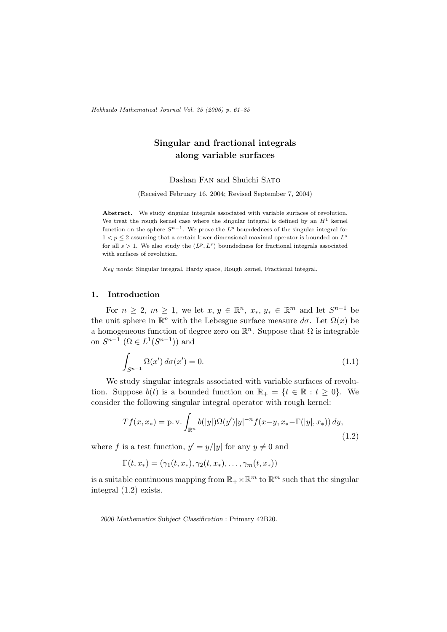Hokkaido Mathematical Journal Vol. 35 (2006) p. 61–85

# Singular and fractional integrals along variable surfaces

Dashan Fan and Shuichi Sato

(Received February 16, 2004; Revised September 7, 2004)

Abstract. We study singular integrals associated with variable surfaces of revolution. We treat the rough kernel case where the singular integral is defined by an  $H<sup>1</sup>$  kernel function on the sphere  $S^{n-1}$ . We prove the  $L^p$  boundedness of the singular integral for  $1 < p \leq 2$  assuming that a certain lower dimensional maximal operator is bounded on  $L^s$ for all  $s > 1$ . We also study the  $(L^p, L^r)$  boundedness for fractional integrals associated with surfaces of revolution.

Key words: Singular integral, Hardy space, Rough kernel, Fractional integral.

### 1. Introduction

For  $n \geq 2$ ,  $m \geq 1$ , we let  $x, y \in \mathbb{R}^n$ ,  $x_*, y_* \in \mathbb{R}^m$  and let  $S^{n-1}$  be the unit sphere in  $\mathbb{R}^n$  with the Lebesgue surface measure  $d\sigma$ . Let  $\Omega(x)$  be a homogeneous function of degree zero on  $\mathbb{R}^n$ . Suppose that  $\Omega$  is integrable on  $S^{n-1}$   $(\Omega \in L^1(S^{n-1}))$  and

$$
\int_{S^{n-1}} \Omega(x') d\sigma(x') = 0.
$$
\n(1.1)

We study singular integrals associated with variable surfaces of revolution. Suppose  $b(t)$  is a bounded function on  $\mathbb{R}_+ = \{t \in \mathbb{R} : t \geq 0\}$ . We consider the following singular integral operator with rough kernel:

$$
Tf(x, x_*) = \text{p.v.} \int_{\mathbb{R}^n} b(|y|) \Omega(y') |y|^{-n} f(x - y, x_* - \Gamma(|y|, x_*)) dy,
$$
\n(1.2)

where f is a test function,  $y' = y/|y|$  for any  $y \neq 0$  and

$$
\Gamma(t, x_*) = (\gamma_1(t, x_*), \gamma_2(t, x_*), \dots, \gamma_m(t, x_*))
$$

is a suitable continuous mapping from  $\mathbb{R}_+ \times \mathbb{R}^m$  to  $\mathbb{R}^m$  such that the singular integral (1.2) exists.

<sup>2000</sup> Mathematics Subject Classification : Primary 42B20.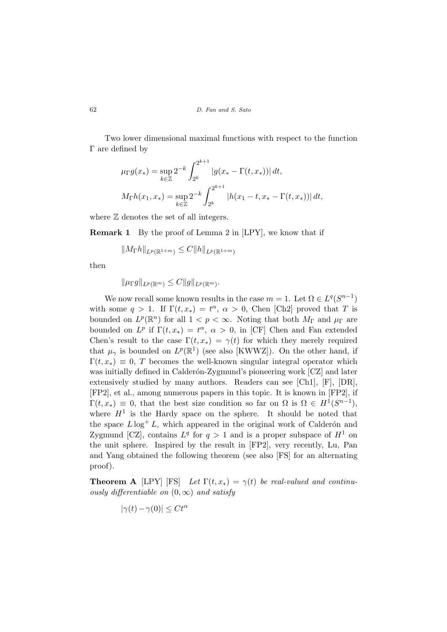Two lower dimensional maximal functions with respect to the function Γ are defined by

$$
\mu_{\Gamma}g(x_{*}) = \sup_{k \in \mathbb{Z}} 2^{-k} \int_{2^{k}}^{2^{k+1}} |g(x_{*} - \Gamma(t, x_{*}))| dt,
$$
  

$$
M_{\Gamma}h(x_{1}, x_{*}) = \sup_{k \in \mathbb{Z}} 2^{-k} \int_{2^{k}}^{2^{k+1}} |h(x_{1} - t, x_{*} - \Gamma(t, x_{*}))| dt,
$$

where  $\mathbb Z$  denotes the set of all integers.

**Remark 1** By the proof of Lemma 2 in [LPY], we know that if

$$
||M_{\Gamma}h||_{L^p(\mathbb{R}^{1+m})} \leq C||h||_{L^p(\mathbb{R}^{1+m})}
$$

then

 $\|\mu_{\Gamma}g\|_{L^p(\mathbb{R}^m)} \leq C \|g\|_{L^p(\mathbb{R}^m)}.$ 

We now recall some known results in the case  $m = 1$ . Let  $\Omega \in L^q(S^{n-1})$ with some  $q > 1$ . If  $\Gamma(t, x_*) = t^{\alpha}, \alpha > 0$ , Chen [Ch2] proved that T is bounded on  $L^p(\mathbb{R}^n)$  for all  $1 < p < \infty$ . Noting that both  $M_{\Gamma}$  and  $\mu_{\Gamma}$  are bounded on  $L^p$  if  $\Gamma(t, x_*) = t^{\alpha}, \alpha > 0$ , in [CF] Chen and Fan extended Chen's result to the case  $\Gamma(t, x_*) = \gamma(t)$  for which they merely required that  $\mu_{\gamma}$  is bounded on  $L^p(\mathbb{R}^1)$  (see also [KWWZ]). On the other hand, if  $\Gamma(t, x_*) \equiv 0$ , T becomes the well-known singular integral operator which was initially defined in Calderón-Zygmund's pioneering work [CZ] and later extensively studied by many authors. Readers can see [Ch1], [F], [DR], [FP2], et al., among numerous papers in this topic. It is known in [FP2], if  $\Gamma(t, x_*) \equiv 0$ , that the best size condition so far on  $\Omega$  is  $\Omega \in H^1(S^{n-1}),$ where  $H^1$  is the Hardy space on the sphere. It should be noted that the space  $L \log^+ L$ , which appeared in the original work of Calderón and Zygmund [CZ], contains  $L^q$  for  $q > 1$  and is a proper subspace of  $H^1$  on the unit sphere. Inspired by the result in [FP2], very recently, Lu, Pan and Yang obtained the following theorem (see also [FS] for an alternating proof).

**Theorem A** [LPY] [FS] Let  $\Gamma(t, x_*) = \gamma(t)$  be real-valued and continuously differentiable on  $(0, \infty)$  and satisfy

$$
|\gamma(t) - \gamma(0)| \le Ct^{\alpha}
$$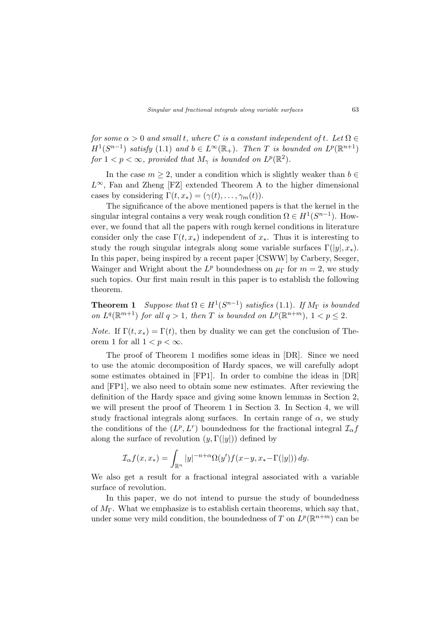for some  $\alpha > 0$  and small t, where C is a constant independent of t. Let  $\Omega \in$  $H^1(S^{n-1})$  satisfy (1.1) and  $b \in L^{\infty}(\mathbb{R}_+)$ . Then T is bounded on  $L^p(\mathbb{R}^{n+1})$ for  $1 < p < \infty$ , provided that  $M_{\gamma}$  is bounded on  $L^{p}(\mathbb{R}^{2})$ .

In the case  $m \geq 2$ , under a condition which is slightly weaker than  $b \in$  $L^{\infty}$ , Fan and Zheng [FZ] extended Theorem A to the higher dimensional cases by considering  $\Gamma(t, x_*) = (\gamma(t), \ldots, \gamma_m(t)).$ 

The significance of the above mentioned papers is that the kernel in the singular integral contains a very weak rough condition  $\Omega \in H^1(S^{n-1})$ . However, we found that all the papers with rough kernel conditions in literature consider only the case  $\Gamma(t, x_*)$  independent of  $x_*$ . Thus it is interesting to study the rough singular integrals along some variable surfaces  $\Gamma(|y|, x_*)$ . In this paper, being inspired by a recent paper [CSWW] by Carbery, Seeger, Wainger and Wright about the  $L^p$  boundedness on  $\mu_{\Gamma}$  for  $m=2$ , we study such topics. Our first main result in this paper is to establish the following theorem.

**Theorem 1** Suppose that  $\Omega \in H^1(S^{n-1})$  satisfies (1.1). If  $M_{\Gamma}$  is bounded on  $L^q(\mathbb{R}^{m+1})$  for all  $q > 1$ , then T is bounded on  $L^p(\mathbb{R}^{n+m})$ ,  $1 < p \leq 2$ .

*Note.* If  $\Gamma(t, x_*) = \Gamma(t)$ , then by duality we can get the conclusion of Theorem 1 for all  $1 < p < \infty$ .

The proof of Theorem 1 modifies some ideas in [DR]. Since we need to use the atomic decomposition of Hardy spaces, we will carefully adopt some estimates obtained in [FP1]. In order to combine the ideas in [DR] and [FP1], we also need to obtain some new estimates. After reviewing the definition of the Hardy space and giving some known lemmas in Section 2, we will present the proof of Theorem 1 in Section 3. In Section 4, we will study fractional integrals along surfaces. In certain range of  $\alpha$ , we study the conditions of the  $(L^p, L^r)$  boundedness for the fractional integral  $\mathcal{I}_{\alpha} f$ along the surface of revolution  $(y, \Gamma(|y|))$  defined by

$$
\mathcal{I}_{\alpha}f(x,x_*) = \int_{\mathbb{R}^n} |y|^{-n+\alpha} \Omega(y')f(x-y,x_*-\Gamma(|y|)) dy.
$$

We also get a result for a fractional integral associated with a variable surface of revolution.

In this paper, we do not intend to pursue the study of boundedness of  $M_{\Gamma}$ . What we emphasize is to establish certain theorems, which say that, under some very mild condition, the boundedness of T on  $L^p(\mathbb{R}^{n+m})$  can be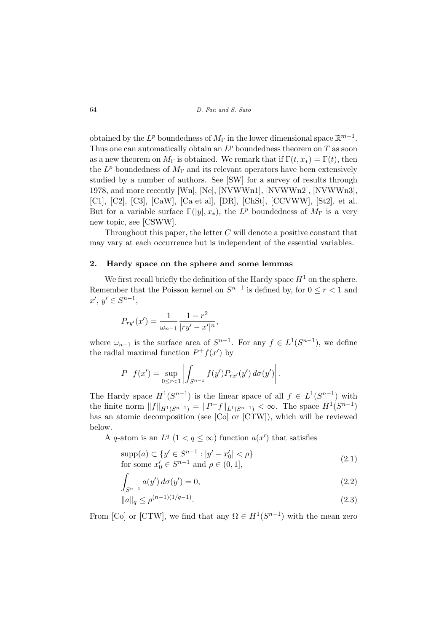64 D. Fan and S. Sato

obtained by the  $L^p$  boundedness of  $M_{\Gamma}$  in the lower dimensional space  $\mathbb{R}^{m+1}$ . Thus one can automatically obtain an  $L^p$  boundedness theorem on T as soon as a new theorem on  $M_{\Gamma}$  is obtained. We remark that if  $\Gamma(t, x_*) = \Gamma(t)$ , then the  $L^p$  boundedness of  $M_\Gamma$  and its relevant operators have been extensively studied by a number of authors. See [SW] for a survey of results through 1978, and more recently [Wn], [Ne], [NVWWn1], [NVWWn2], [NVWWn3], [C1], [C2], [C3], [CaW], [Ca et al], [DR], [ChSt], [CCVWW], [St2], et al. But for a variable surface  $\Gamma(|y|, x_*)$ , the  $L^p$  boundedness of  $M_{\Gamma}$  is a very new topic, see [CSWW].

Throughout this paper, the letter  $C$  will denote a positive constant that may vary at each occurrence but is independent of the essential variables.

#### 2. Hardy space on the sphere and some lemmas

We first recall briefly the definition of the Hardy space  $H^1$  on the sphere. Remember that the Poisson kernel on  $S^{n-1}$  is defined by, for  $0 \le r < 1$  and  $x', y' \in S^{n-1},$ 

$$
P_{ry'}(x') = \frac{1}{\omega_{n-1}} \frac{1 - r^2}{|ry' - x'|^n},
$$

where  $\omega_{n-1}$  is the surface area of  $S^{n-1}$ . For any  $f \in L^1(S^{n-1})$ , we define the radial maximal function  $P^+f(x')$  by

$$
P^{+} f(x') = \sup_{0 \leq r < 1} \left| \int_{S^{n-1}} f(y') P_{rx'}(y') \, d\sigma(y') \right|.
$$

The Hardy space  $H^1(S^{n-1})$  is the linear space of all  $f \in L^1(S^{n-1})$  with the finite norm  $||f||_{H^1(S^{n-1})} = ||P^+f||_{L^1(S^{n-1})} < \infty$ . The space  $H^1(S^{n-1})$ has an atomic decomposition (see [Co] or [CTW]), which will be reviewed below.

A q-atom is an  $L^q$   $(1 < q \leq \infty)$  function  $a(x')$  that satisfies

$$
supp(a) \subset \{y' \in S^{n-1} : |y' - x'_0| < \rho\}
$$
  
for some  $x'_0 \in S^{n-1}$  and  $\rho \in (0, 1],$  (2.1)

$$
\int_{S^{n-1}} a(y') d\sigma(y') = 0,
$$
\n(2.2)

$$
||a||_q \le \rho^{(n-1)(1/q-1)}.\tag{2.3}
$$

From [Co] or [CTW], we find that any  $\Omega \in H^1(S^{n-1})$  with the mean zero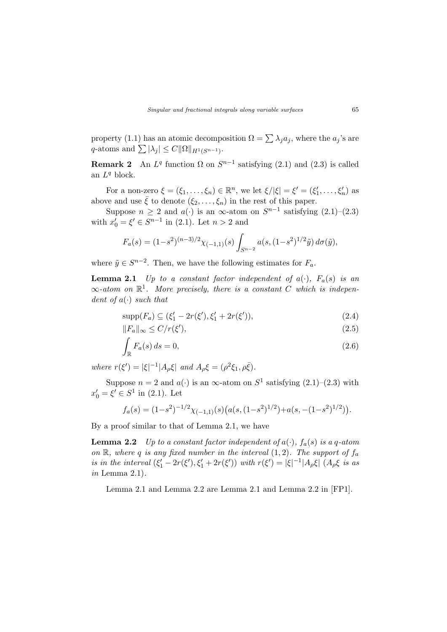property (1.1) has an atomic decomposition  $\Omega = \sum \lambda_i a_i$ , where the  $a_i$ 's are property (1.1) has an atomic decomponently  $q$ -atoms and  $\sum |\lambda_j| \leq C ||\Omega||_{H^1(S^{n-1})}$ .

**Remark 2** An  $L^q$  function  $\Omega$  on  $S^{n-1}$  satisfying (2.1) and (2.3) is called an  $L^q$  block.

For a non-zero  $\xi = (\xi_1, \ldots, \xi_n) \in \mathbb{R}^n$ , we let  $\xi/|\xi| = \xi' = (\xi'_1, \ldots, \xi'_n)$  as above and use  $\bar{\xi}$  to denote  $(\xi_2, \ldots, \xi_n)$  in the rest of this paper.

Suppose  $n \geq 2$  and  $a(\cdot)$  is an  $\infty$ -atom on  $S^{n-1}$  satisfying  $(2.1)$ - $(2.3)$ with  $x'_0 = \xi' \in S^{n-1}$  in (2.1). Let  $n > 2$  and

$$
F_a(s) = (1 - s^2)^{(n-3)/2} \chi_{(-1,1)}(s) \int_{S^{n-2}} a(s, (1 - s^2)^{1/2} \tilde{y}) d\sigma(\tilde{y}),
$$

where  $\tilde{y} \in S^{n-2}$ . Then, we have the following estimates for  $F_a$ .

**Lemma 2.1** Up to a constant factor independent of  $a(\cdot)$ ,  $F_a(s)$  is an  $\infty$ -atom on  $\mathbb{R}^1$ . More precisely, there is a constant C which is independent of  $a(\cdot)$  such that

$$
supp(F_a) \subseteq (\xi'_1 - 2r(\xi'), \xi'_1 + 2r(\xi')), \qquad (2.4)
$$

$$
||F_a||_{\infty} \le C/r(\xi'),\tag{2.5}
$$

$$
\int_{\mathbb{R}} F_a(s) \, ds = 0,\tag{2.6}
$$

where  $r(\xi') = |\xi|^{-1} |A_{\rho}\xi|$  and  $A_{\rho}\xi = (\rho^2 \xi_1, \rho \bar{\xi}).$ 

Suppose  $n = 2$  and  $a(\cdot)$  is an  $\infty$ -atom on  $S^1$  satisfying  $(2.1)$ – $(2.3)$  with  $x'_0 = \xi' \in S^1$  in (2.1). Let

$$
f_a(s) = (1 - s^2)^{-1/2} \chi_{(-1,1)}(s) \left( a(s, (1 - s^2)^{1/2}) + a(s, -(1 - s^2)^{1/2}) \right).
$$

By a proof similar to that of Lemma 2.1, we have

**Lemma 2.2** Up to a constant factor independent of  $a(\cdot)$ ,  $f_a(s)$  is a q-atom on  $\mathbb{R}$ , where q is any fixed number in the interval  $(1, 2)$ . The support of  $f_a$ is in the interval  $(\xi_1'-2r(\xi'),\xi_1'+2r(\xi'))$  with  $r(\xi')=|\xi|^{-1}|A_\rho\xi|$   $(A_\rho\xi$  is as in Lemma  $2.1$ ).

Lemma 2.1 and Lemma 2.2 are Lemma 2.1 and Lemma 2.2 in [FP1].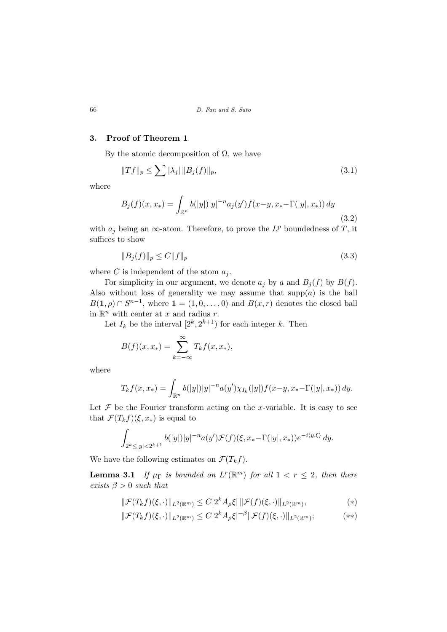## 3. Proof of Theorem 1

By the atomic decomposition of  $\Omega$ , we have

$$
||Tf||_p \le \sum |\lambda_j| ||B_j(f)||_p,
$$
\n(3.1)

where

$$
B_j(f)(x, x_*) = \int_{\mathbb{R}^n} b(|y|) |y|^{-n} a_j(y') f(x - y, x_* - \Gamma(|y|, x_*)) dy
$$
\n(3.2)

with  $a_j$  being an  $\infty$ -atom. Therefore, to prove the  $L^p$  boundedness of T, it suffices to show

$$
||B_j(f)||_p \le C||f||_p \tag{3.3}
$$

where C is independent of the atom  $a_i$ .

For simplicity in our argument, we denote  $a_j$  by a and  $B_j(f)$  by  $B(f)$ . Also without loss of generality we may assume that  $supp(a)$  is the ball  $B(1, \rho) \cap S^{n-1}$ , where  $1 = (1, 0, \ldots, 0)$  and  $B(x, r)$  denotes the closed ball in  $\mathbb{R}^n$  with center at x and radius r.

Let  $I_k$  be the interval  $[2^k, 2^{k+1})$  for each integer k. Then

$$
B(f)(x, x_*) = \sum_{k=-\infty}^{\infty} T_k f(x, x_*),
$$

where

$$
T_k f(x, x_*) = \int_{\mathbb{R}^n} b(|y|) |y|^{-n} a(y') \chi_{I_k}(|y|) f(x - y, x_* - \Gamma(|y|, x_*)) dy.
$$

Let  $\mathcal F$  be the Fourier transform acting on the x-variable. It is easy to see that  $\mathcal{F}(T_k f)(\xi, x_*)$  is equal to

$$
\int_{2^k \le |y| < 2^{k+1}} b(|y|) |y|^{-n} a(y') \mathcal{F}(f)(\xi, x_* - \Gamma(|y|, x_*)) e^{-i \langle y, \xi \rangle} dy.
$$

We have the following estimates on  $\mathcal{F}(T_kf)$ .

**Lemma 3.1** If  $\mu_{\Gamma}$  is bounded on  $L^{r}(\mathbb{R}^{m})$  for all  $1 < r \leq 2$ , then there exists  $\beta > 0$  such that

$$
\|\mathcal{F}(T_k f)(\xi,\cdot)\|_{L^2(\mathbb{R}^m)} \leq C|2^k A_\rho \xi| \|\mathcal{F}(f)(\xi,\cdot)\|_{L^2(\mathbb{R}^m)},\tag{*}
$$

$$
\|\mathcal{F}(T_k f)(\xi,\cdot)\|_{L^2(\mathbb{R}^m)} \leq C|2^k A_\rho \xi|^{-\beta} \|\mathcal{F}(f)(\xi,\cdot)\|_{L^2(\mathbb{R}^m)}; \tag{**}
$$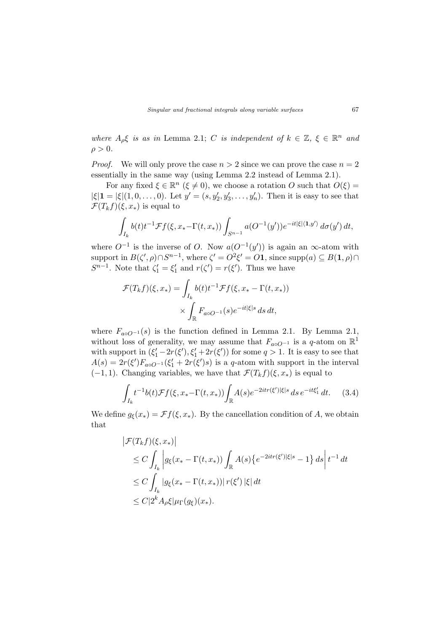where  $A_{\rho} \xi$  is as in Lemma 2.1; C is independent of  $k \in \mathbb{Z}$ ,  $\xi \in \mathbb{R}^n$  and  $\rho > 0$ .

*Proof.* We will only prove the case  $n > 2$  since we can prove the case  $n = 2$ essentially in the same way (using Lemma 2.2 instead of Lemma 2.1).

For any fixed  $\xi \in \mathbb{R}^n$  ( $\xi \neq 0$ ), we choose a rotation O such that  $O(\xi)$  =  $|\xi| = |\xi|(1,0,\ldots,0)$ . Let  $y' = (s, y'_2, y'_3, \ldots, y'_n)$ . Then it is easy to see that  $\mathcal{F}(T_kf)(\xi,x_*)$  is equal to

$$
\int_{I_k} b(t) t^{-1} \mathcal{F} f(\xi, x_* - \Gamma(t, x_*)) \int_{S^{n-1}} a(O^{-1}(y')) e^{-it|\xi| \langle \mathbf{1}, y' \rangle} d\sigma(y') dt,
$$

where  $O^{-1}$  is the inverse of O. Now  $a(O^{-1}(y'))$  is again an  $\infty$ -atom with support in  $B(\zeta', \rho) \cap S^{n-1}$ , where  $\zeta' = O^2 \xi' = O \mathbf{1}$ , since supp $(a) \subseteq B(\mathbf{1}, \rho) \cap$  $S^{n-1}$ . Note that  $\zeta_1' = \xi_1'$  and  $r(\zeta') = r(\xi')$ . Thus we have

$$
\mathcal{F}(T_k f)(\xi, x_*) = \int_{I_k} b(t) t^{-1} \mathcal{F}f(\xi, x_* - \Gamma(t, x_*))
$$

$$
\times \int_{\mathbb{R}} F_{a \circ O^{-1}}(s) e^{-it|\xi|s} ds dt,
$$

where  $F_{a\circ Q^{-1}}(s)$  is the function defined in Lemma 2.1. By Lemma 2.1, without loss of generality, we may assume that  $F_{a\circ Q^{-1}}$  is a q-atom on  $\mathbb{R}^1$ with support in  $(\xi_1'-2r(\xi'),\xi_1'+2r(\xi'))$  for some  $q>1$ . It is easy to see that  $A(s) = 2r(\xi')F_{a\circ Q^{-1}}(\xi_1' + 2r(\xi')s)$  is a q-atom with support in the interval  $(-1, 1)$ . Changing variables, we have that  $\mathcal{F}(T_k f)(\xi, x_*)$  is equal to

$$
\int_{I_k} t^{-1} b(t) \mathcal{F}f(\xi, x_* - \Gamma(t, x_*)) \int_{\mathbb{R}} A(s) e^{-2itr(\xi')|\xi|s} ds e^{-it\xi_1'} dt. \tag{3.4}
$$

We define  $g_{\xi}(x_*) = \mathcal{F}f(\xi, x_*)$ . By the cancellation condition of A, we obtain that

$$
\begin{aligned} \left| \mathcal{F}(T_k f)(\xi, x_*) \right| \\ &\leq C \int_{I_k} \left| g_{\xi}(x_* - \Gamma(t, x_*)) \int_{\mathbb{R}} A(s) \left\{ e^{-2itr(\xi')|\xi|s} - 1 \right\} ds \right| t^{-1} dt \\ &\leq C \int_{I_k} \left| g_{\xi}(x_* - \Gamma(t, x_*)) \right| r(\xi') |\xi| dt \\ &\leq C \left| 2^k A_\rho \xi \right| \mu_\Gamma(g_{\xi})(x_*). \end{aligned}
$$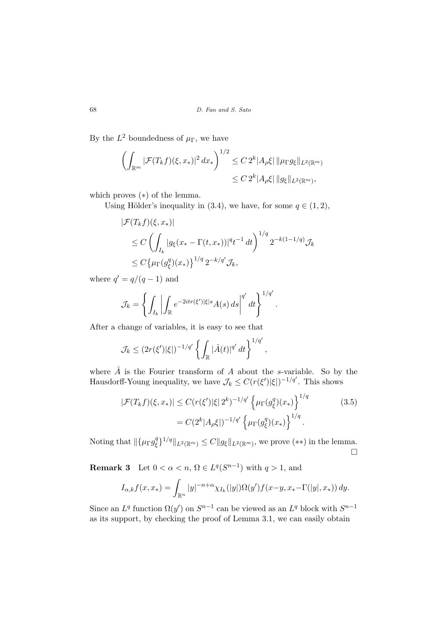By the  $L^2$  boundedness of  $\mu_{\Gamma}$ , we have

$$
\left(\int_{\mathbb{R}^m} |\mathcal{F}(T_k f)(\xi, x_*)|^2 dx_*\right)^{1/2} \leq C 2^k |A_\rho \xi| \|\mu_{\Gamma} g_{\xi}\|_{L^2(\mathbb{R}^m)}
$$
  

$$
\leq C 2^k |A_\rho \xi| \|g_{\xi}\|_{L^2(\mathbb{R}^m)},
$$

which proves (∗) of the lemma.

Using Hölder's inequality in (3.4), we have, for some  $q \in (1, 2)$ ,

$$
|\mathcal{F}(T_k f)(\xi, x_*)|
$$
  
\n
$$
\leq C \left( \int_{I_k} |g_{\xi}(x_* - \Gamma(t, x_*))|^{q} t^{-1} dt \right)^{1/q} 2^{-k(1-1/q)} \mathcal{J}_k
$$
  
\n
$$
\leq C \left\{ \mu_{\Gamma}(g_{\xi}^q)(x_*) \right\}^{1/q} 2^{-k/q'} \mathcal{J}_k,
$$

where  $q' = q/(q-1)$  and

$$
\mathcal{J}_k = \left\{ \int_{I_k} \left| \int_{\mathbb{R}} e^{-2itr(\xi')|\xi|s} A(s) \, ds \right|^{q'} dt \right\}^{1/q'}.
$$

After a change of variables, it is easy to see that

$$
\mathcal{J}_k \leq (2r(\xi')|\xi|)^{-1/q'} \left\{ \int_{\mathbb{R}} |\hat{A}(t)|^{q'} dt \right\}^{1/q'},
$$

where  $\hat{A}$  is the Fourier transform of A about the s-variable. So by the Hausdorff-Young inequality, we have  $\mathcal{J}_k \leq C(r(\xi')|\xi|)^{-1/q'}$ . This shows

$$
|\mathcal{F}(T_k f)(\xi, x_*)| \le C(r(\xi')|\xi| 2^k)^{-1/q'} \left\{ \mu_\Gamma(g_\xi^q)(x_*) \right\}^{1/q}
$$
\n
$$
= C(2^k |A_\rho \xi|)^{-1/q'} \left\{ \mu_\Gamma(g_\xi^q)(x_*) \right\}^{1/q}.
$$
\n(3.5)

Noting that  $\|\{\mu_{\Gamma} g_{\varepsilon}^q\|$  $\|\xi\|_{L^2(\mathbb{R}^m)} \leq C \|g_{\xi}\|_{L^2(\mathbb{R}^m)}$ , we prove  $(**)$  in the lemma.  $\Box$ 

**Remark 3** Let  $0 < \alpha < n$ ,  $\Omega \in L^q(S^{n-1})$  with  $q > 1$ , and

$$
I_{\alpha,k}f(x,x_*) = \int_{\mathbb{R}^n} |y|^{-n+\alpha} \chi_{I_k}(|y|) \Omega(y') f(x-y, x_* - \Gamma(|y|, x_*)) dy.
$$

Since an  $L^q$  function  $\Omega(y')$  on  $S^{n-1}$  can be viewed as an  $L^q$  block with  $S^{n-1}$ as its support, by checking the proof of Lemma 3.1, we can easily obtain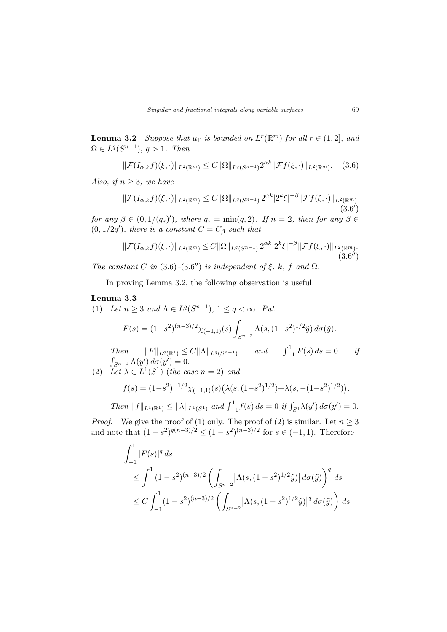**Lemma 3.2** Suppose that  $\mu_{\Gamma}$  is bounded on  $L^r(\mathbb{R}^m)$  for all  $r \in (1,2]$ , and  $\Omega \in L^q(S^{n-1}), q > 1$ . Then

$$
\|\mathcal{F}(I_{\alpha,k}f)(\xi,\cdot)\|_{L^2(\mathbb{R}^m)} \leq C \|\Omega\|_{L^q(S^{n-1})} 2^{\alpha k} \|\mathcal{F}f(\xi,\cdot)\|_{L^2(\mathbb{R}^m)}. \tag{3.6}
$$

Also, if  $n \geq 3$ , we have

$$
\|\mathcal{F}(I_{\alpha,k}f)(\xi,\cdot)\|_{L^{2}(\mathbb{R}^{m})} \leq C\|\Omega\|_{L^{q}(S^{n-1})} 2^{\alpha k} |2^{k}\xi|^{-\beta} \|\mathcal{F}f(\xi,\cdot)\|_{L^{2}(\mathbb{R}^{m})}
$$
\n(3.6')

for any  $\beta \in (0, 1/(q_*)')$ , where  $q_* = \min(q, 2)$ . If  $n = 2$ , then for any  $\beta \in$  $(0, 1/2q')$ , there is a constant  $C = C_\beta$  such that

$$
\|\mathcal{F}(I_{\alpha,k}f)(\xi,\cdot)\|_{L^{2}(\mathbb{R}^{m})} \leq C \|\Omega\|_{L^{q}(S^{n-1})} 2^{\alpha k} |2^{k}\xi|^{-\beta} \|\mathcal{F}f(\xi,\cdot)\|_{L^{2}(\mathbb{R}^{m})}. \tag{3.6''}
$$

The constant C in  $(3.6)$ - $(3.6'')$  is independent of  $\xi$ , k, f and  $\Omega$ .

In proving Lemma 3.2, the following observation is useful.

#### Lemma 3.3

(1) Let  $n \geq 3$  and  $\Lambda \in L^q(S^{n-1}), 1 \leq q < \infty$ . Put

$$
F(s) = (1 - s^2)^{(n-3)/2} \chi_{(-1,1)}(s) \int_{S^{n-2}} \Lambda(s, (1 - s^2)^{1/2} \tilde{y}) d\sigma(\tilde{y}).
$$

Then  $||F||_{L^q(\mathbb{R}^1)} \leq C||\Lambda||_{L^q(S^{n-1})}$  and  $\int_{-1}^1 F(s) ds = 0$  if  $\overline{\phantom{a}}$  $\int_{S^{n-1}} \Lambda(y')\,d\sigma(y')=0.$ 

(2) Let  $\lambda \in L^1(S^1)$  (the case  $n=2$ ) and

$$
f(s) = (1 - s^2)^{-1/2} \chi_{(-1,1)}(s) \left( \lambda(s, (1 - s^2)^{1/2}) + \lambda(s, -(1 - s^2)^{1/2}) \right).
$$

Then  $||f||_{L^1(\mathbb{R}^1)} \le ||\lambda||_{L^1(S^1)}$  and  $\int_{-1}^1 f(s) ds = 0$  if  $\int_{S^1} \lambda(y') d\sigma(y') = 0$ .

*Proof.* We give the proof of (1) only. The proof of (2) is similar. Let  $n \geq 3$ and note that  $(1-s^2)^{q(n-3)/2} \leq (1-s^2)^{(n-3)/2}$  for  $s \in (-1,1)$ . Therefore

$$
\int_{-1}^{1} |F(s)|^q ds
$$
\n
$$
\leq \int_{-1}^{1} (1 - s^2)^{(n-3)/2} \left( \int_{S^{n-2}} \left| \Lambda(s, (1 - s^2)^{1/2} \tilde{y}) \right| d\sigma(\tilde{y}) \right)^q ds
$$
\n
$$
\leq C \int_{-1}^{1} (1 - s^2)^{(n-3)/2} \left( \int_{S^{n-2}} \left| \Lambda(s, (1 - s^2)^{1/2} \tilde{y}) \right|^q d\sigma(\tilde{y}) \right) ds
$$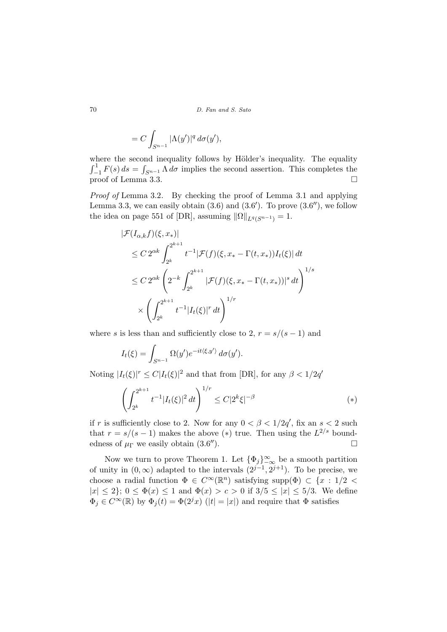70 D. Fan and S. Sato

$$
= C \int_{S^{n-1}} |\Lambda(y')|^q d\sigma(y'),
$$

where the second inequality follows by Hölder's inequality. The equality  $\mathbb{R}^d$  $\frac{W}{r^1}$  $\int_{-1}^{1} F(s) ds = \int_{S^{n-1}} \Lambda d\sigma$  implies the second assertion. This completes the proof of Lemma 3.3.  $\Box$ 

Proof of Lemma 3.2. By checking the proof of Lemma 3.1 and applying Lemma 3.3, we can easily obtain  $(3.6)$  and  $(3.6')$ . To prove  $(3.6'')$ , we follow the idea on page 551 of [DR], assuming  $||\Omega||_{L^q(S^{n-1})} = 1$ .

$$
\begin{aligned} |\mathcal{F}(I_{\alpha,k}f)(\xi, x_*)| \\ &\leq C \, 2^{\alpha k} \int_{2^k}^{2^{k+1}} t^{-1} |\mathcal{F}(f)(\xi, x_* - \Gamma(t, x_*)) I_t(\xi)| \, dt \\ &\leq C \, 2^{\alpha k} \left( 2^{-k} \int_{2^k}^{2^{k+1}} |\mathcal{F}(f)(\xi, x_* - \Gamma(t, x_*))|^s \, dt \right)^{1/s} \\ &\times \left( \int_{2^k}^{2^{k+1}} t^{-1} |I_t(\xi)|^r \, dt \right)^{1/r} \end{aligned}
$$

where s is less than and sufficiently close to 2,  $r = s/(s-1)$  and

$$
I_t(\xi) = \int_{S^{n-1}} \Omega(y') e^{-it\langle \xi, y' \rangle} d\sigma(y').
$$

Noting  $|I_t(\xi)|^r \leq C |I_t(\xi)|^2$  and that from [DR], for any  $\beta < 1/2q^r$ 

$$
\left(\int_{2^k}^{2^{k+1}} t^{-1} |I_t(\xi)|^2 dt\right)^{1/r} \leq C|2^k \xi|^{-\beta} \tag{*}
$$

if r is sufficiently close to 2. Now for any  $0 < \beta < 1/2q'$ , fix an  $s < 2$  such that  $r = s/(s-1)$  makes the above (\*) true. Then using the  $L^{2/s}$  boundedness of  $\mu_{\Gamma}$  we easily obtain (3.6").  $\mathbb{Z}$ ).

Now we turn to prove Theorem 1. Let  $\{\Phi_j\}_{-\infty}^{\infty}$  be a smooth partition of unity in  $(0, \infty)$  adapted to the intervals  $(2^{j-1}, 2^{j+1})$ . To be precise, we choose a radial function  $\Phi \in C^{\infty}(\mathbb{R}^n)$  satisfying supp $(\Phi) \subset \{x : 1/2 \leq$  $|x| \leq 2$ ;  $0 \leq \Phi(x) \leq 1$  and  $\Phi(x) > c > 0$  if  $3/5 \leq |x| \leq 5/3$ . We define  $\Phi_j \in C^{\infty}(\mathbb{R})$  by  $\Phi_j(t) = \Phi(2^{j}x)$  ( $|t| = |x|$ ) and require that  $\Phi$  satisfies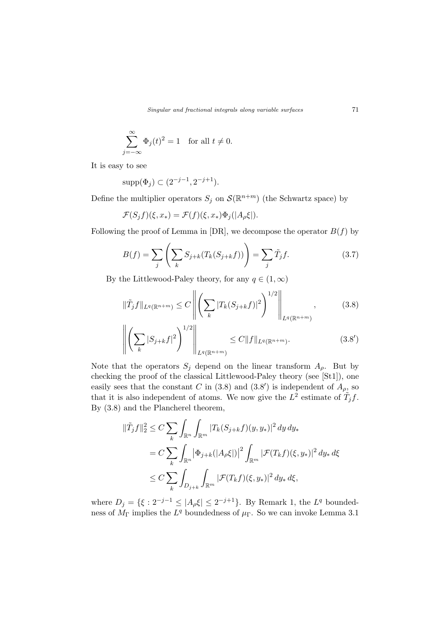Singular and fractional integrals along variable surfaces  $71$ 

$$
\sum_{j=-\infty}^{\infty} \Phi_j(t)^2 = 1 \quad \text{for all } t \neq 0.
$$

It is easy to see

$$
supp(\Phi_j) \subset (2^{-j-1}, 2^{-j+1}).
$$

Define the multiplier operators  $S_j$  on  $\mathcal{S}(\mathbb{R}^{n+m})$  (the Schwartz space) by

$$
\mathcal{F}(S_j f)(\xi, x_*) = \mathcal{F}(f)(\xi, x_*) \Phi_j(|A_{\rho} \xi|).
$$

Following the proof of Lemma in [DR], we decompose the operator  $B(f)$  by

$$
B(f) = \sum_{j} \left( \sum_{k} S_{j+k}(T_k(S_{j+k}f)) \right) = \sum_{j} \tilde{T}_j f. \tag{3.7}
$$

By the Littlewood-Paley theory, for any  $q \in (1,\infty)$ 

$$
\|\tilde{T}_j f\|_{L^q(\mathbb{R}^{n+m})} \le C \left\| \left( \sum_k |T_k(S_{j+k} f)|^2 \right)^{1/2} \right\|_{L^q(\mathbb{R}^{n+m})},\tag{3.8}
$$

$$
\left\| \left( \sum_{k} |S_{j+k} f|^2 \right)^{1/2} \right\|_{L^q(\mathbb{R}^{n+m})} \le C \|f\|_{L^q(\mathbb{R}^{n+m})}.
$$
 (3.8')

Note that the operators  $S_j$  depend on the linear transform  $A_{\rho}$ . But by checking the proof of the classical Littlewood-Paley theory (see [St1]), one easily sees that the constant C in (3.8) and (3.8') is independent of  $A_{\rho}$ , so that it is also independent of atoms. We now give the  $L^2$  estimate of  $\tilde{T}_j f$ . By (3.8) and the Plancherel theorem,

$$
\begin{aligned} \|\tilde{T}_j f\|_2^2 &\leq C \sum_k \int_{\mathbb{R}^n} \int_{\mathbb{R}^m} |T_k(S_{j+k}f)(y, y_*)|^2 \, dy \, dy_* \\ &= C \sum_k \int_{\mathbb{R}^n} \left| \Phi_{j+k}(|A_{\rho} \xi|) \right|^2 \int_{\mathbb{R}^m} |\mathcal{F}(T_k f)(\xi, y_*)|^2 \, dy_* \, d\xi \\ &\leq C \sum_k \int_{D_{j+k}} \int_{\mathbb{R}^m} |\mathcal{F}(T_k f)(\xi, y_*)|^2 \, dy_* \, d\xi, \end{aligned}
$$

where  $D_j = \{ \xi : 2^{-j-1} \leq |A_\rho \xi| \leq 2^{-j+1} \}.$  By Remark 1, the  $L^q$  boundedness of  $M_{\Gamma}$  implies the  $L^q$  boundedness of  $\mu_{\Gamma}$ . So we can invoke Lemma 3.1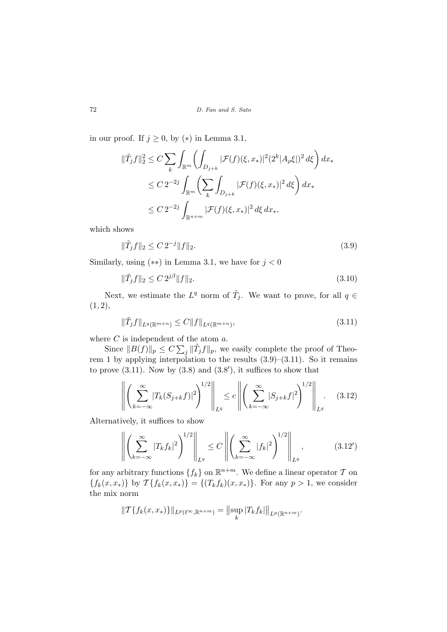in our proof. If  $j \geq 0$ , by  $(*)$  in Lemma 3.1,

$$
\begin{aligned} \|\tilde{T}_j f\|_2^2 &\leq C \sum_k \int_{\mathbb{R}^m} \left( \int_{D_{j+k}} |\mathcal{F}(f)(\xi, x_*)|^2 (2^k |A_\rho \xi|)^2 \, d\xi \right) dx_* \\ &\leq C \, 2^{-2j} \int_{\mathbb{R}^m} \left( \sum_k \int_{D_{j+k}} |\mathcal{F}(f)(\xi, x_*)|^2 \, d\xi \right) dx_* \\ &\leq C \, 2^{-2j} \int_{\mathbb{R}^{n+m}} |\mathcal{F}(f)(\xi, x_*)|^2 \, d\xi \, dx_*, \end{aligned}
$$

which shows

$$
\|\tilde{T}_j f\|_2 \le C 2^{-j} \|f\|_2. \tag{3.9}
$$

Similarly, using  $(**)$  in Lemma 3.1, we have for  $j < 0$ 

$$
\|\tilde{T}_j f\|_2 \le C 2^{j\beta} \|f\|_2. \tag{3.10}
$$

Next, we estimate the  $L^q$  norm of  $\tilde{T}_j$ . We want to prove, for all  $q \in$  $(1, 2),$ 

$$
\|\tilde{T}_j f\|_{L^q(\mathbb{R}^{m+n})} \le C \|f\|_{L^q(\mathbb{R}^{m+n})},\tag{3.11}
$$

where C is independent of the atom a.

Since  $||B(f)||_p \leq C \sum_j ||\tilde{T}_j f||_p$ , we easily complete the proof of Theorem 1 by applying interpolation to the results  $(3.9)$ – $(3.11)$ . So it remains to prove  $(3.11)$ . Now by  $(3.8)$  and  $(3.8')$ , it suffices to show that

$$
\left\| \left( \sum_{k=-\infty}^{\infty} |T_k(S_{j+k}f)|^2 \right)^{1/2} \right\|_{L^q} \le c \left\| \left( \sum_{k=-\infty}^{\infty} |S_{j+k}f|^2 \right)^{1/2} \right\|_{L^q}.
$$
 (3.12)

Alternatively, it suffices to show

$$
\left\| \left( \sum_{k=-\infty}^{\infty} |T_k f_k|^2 \right)^{1/2} \right\|_{L^q} \le C \left\| \left( \sum_{k=-\infty}^{\infty} |f_k|^2 \right)^{1/2} \right\|_{L^q}, \tag{3.12'}
$$

for any arbitrary functions  $\{f_k\}$  on  $\mathbb{R}^{n+m}$ . We define a linear operator  $\mathcal T$  on  ${f_k(x, x_*)}$  by  $\mathcal{T}{f_k(x, x_*)} = {(T_k f_k)(x, x_*)}$ . For any  $p > 1$ , we consider the mix norm

$$
||\mathcal{T}\{f_k(x,x_*)\}||_{L^p(\ell^{\infty},\mathbb{R}^{n+m})}=||\sup_k |T_kf_k|||_{L^p(\mathbb{R}^{n+m})}.
$$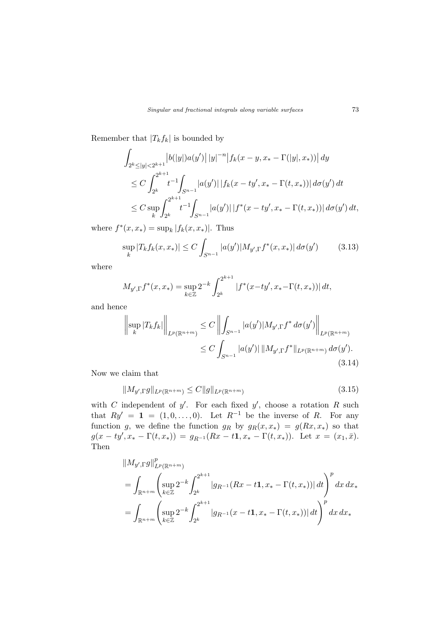Remember that  $|T_k f_k|$  is bounded by

$$
\int_{2^{k} \leq |y| < 2^{k+1}} |b(|y|)a(y')| |y|^{-n} |f_{k}(x - y, x_{*} - \Gamma(|y|, x_{*}))| dy
$$
\n
$$
\leq C \int_{2^{k}}^{2^{k+1}} t^{-1} \int_{S^{n-1}} |a(y')| |f_{k}(x - ty', x_{*} - \Gamma(t, x_{*}))| d\sigma(y') dt
$$
\n
$$
\leq C \sup_{k} \int_{2^{k}}^{2^{k+1}} t^{-1} \int_{S^{n-1}} |a(y')| |f^{*}(x - ty', x_{*} - \Gamma(t, x_{*}))| d\sigma(y') dt,
$$

where  $f^*(x, x_*) = \sup_k |f_k(x, x_*)|$ . Thus

$$
\sup_{k} |T_{k}f_{k}(x, x_{*})| \leq C \int_{S^{n-1}} |a(y')| M_{y', \Gamma} f^{*}(x, x_{*})| d\sigma(y') \qquad (3.13)
$$

where

$$
M_{y',\Gamma} f^*(x, x_*) = \sup_{k \in \mathbb{Z}} 2^{-k} \int_{2^k}^{2^{k+1}} |f^*(x - ty', x_* - \Gamma(t, x_*))| dt,
$$

and hence

$$
\left\| \sup_{k} |T_{k} f_{k}| \right\|_{L^{p}(\mathbb{R}^{n+m})} \leq C \left\| \int_{S^{n-1}} |a(y')| M_{y',\Gamma} f^* d\sigma(y') \right\|_{L^{p}(\mathbb{R}^{n+m})}
$$
  
 
$$
\leq C \int_{S^{n-1}} |a(y')| \|M_{y',\Gamma} f^* \|_{L^{p}(\mathbb{R}^{n+m})} d\sigma(y').
$$
  
(3.14)

Now we claim that

$$
||M_{y',\Gamma}g||_{L^{p}(\mathbb{R}^{n+m})} \leq C||g||_{L^{p}(\mathbb{R}^{n+m})}
$$
\n(3.15)

with C independent of y'. For each fixed y', choose a rotation R such that  $Ry' = \mathbf{1} = (1, 0, \dots, 0)$ . Let  $R^{-1}$  be the inverse of R. For any function g, we define the function  $g_R$  by  $g_R(x, x_*) = g(Rx, x_*)$  so that  $g(x - ty', x_* - \Gamma(t, x_*)) = g_{R^{-1}}(Rx - t\mathbf{1}, x_* - \Gamma(t, x_*)).$  Let  $x = (x_1, \bar{x}).$ Then

$$
\|M_{y',\Gamma}g\|_{L^p(\mathbb{R}^{n+m})}^p
$$
  
=  $\int_{\mathbb{R}^{n+m}} \left( \sup_{k \in \mathbb{Z}} 2^{-k} \int_{2^k} 2^{k+1} |g_{R^{-1}}(Rx - t\mathbf{1}, x_* - \Gamma(t, x_*))| dt \right)^p dx dx_*$   
=  $\int_{\mathbb{R}^{n+m}} \left( \sup_{k \in \mathbb{Z}} 2^{-k} \int_{2^k} 2^{k+1} |g_{R^{-1}}(x - t\mathbf{1}, x_* - \Gamma(t, x_*))| dt \right)^p dx dx_*$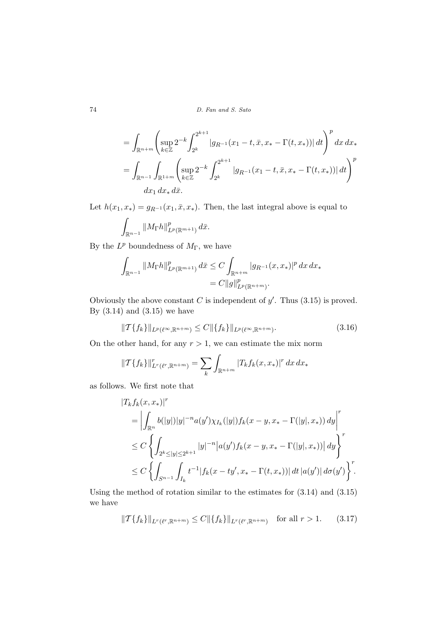#### 74 D. Fan and S. Sato

$$
= \int_{\mathbb{R}^{n+m}} \left( \sup_{k \in \mathbb{Z}} 2^{-k} \int_{2^k} 2^{k+1} |g_{R^{-1}}(x_1 - t, \bar{x}, x_* - \Gamma(t, x_*))| dt \right)^p dx dx_*
$$
  
= 
$$
\int_{\mathbb{R}^{n-1}} \int_{\mathbb{R}^{1+m}} \left( \sup_{k \in \mathbb{Z}} 2^{-k} \int_{2^k} 2^{k+1} |g_{R^{-1}}(x_1 - t, \bar{x}, x_* - \Gamma(t, x_*))| dt \right)^p dx
$$
  

$$
dx_1 dx_* d\bar{x}.
$$

Let  $h(x_1, x_*) = g_{R^{-1}}(x_1, \bar{x}, x_*)$ . Then, the last integral above is equal to

$$
\int_{\mathbb{R}^{n-1}} \| M_{\Gamma}h\|^p_{L^p(\mathbb{R}^{m+1})}\, d\bar{x}.
$$

By the  $L^p$  boundedness of  $M_{\Gamma}$ , we have

$$
\int_{\mathbb{R}^{n-1}} \|M_{\Gamma}h\|_{L^p(\mathbb{R}^{m+1})}^p d\bar{x} \leq C \int_{\mathbb{R}^{n+m}} |g_{R^{-1}}(x, x_*)|^p dxdx_*= C \|g\|_{L^p(\mathbb{R}^{n+m})}^p.
$$

Obviously the above constant C is independent of  $y'$ . Thus  $(3.15)$  is proved. By  $(3.14)$  and  $(3.15)$  we have

$$
\|T\{f_k\}\|_{L^p(\ell^{\infty}, \mathbb{R}^{n+m})} \le C \|\{f_k\}\|_{L^p(\ell^{\infty}, \mathbb{R}^{n+m})}.
$$
\n(3.16)

On the other hand, for any  $r > 1$ , we can estimate the mix norm

$$
\|T\{f_k\}\|_{L^r(\ell^r,\mathbb{R}^{n+m})}^r = \sum_k \int_{\mathbb{R}^{n+m}} |T_k f_k(x,x_*)|^r dx dx_*
$$

as follows. We first note that

$$
|T_k f_k(x, x_*)|^r
$$
  
=  $\left| \int_{\mathbb{R}^n} b(|y|) |y|^{-n} a(y') \chi_{I_k}(|y|) f_k(x - y, x_* - \Gamma(|y|, x_*)) dy \right|^r$   
 $\leq C \left\{ \int_{2^k \leq |y| \leq 2^{k+1}} |y|^{-n} |a(y') f_k(x - y, x_* - \Gamma(|y|, x_*))| dy \right\}^r$   
 $\leq C \left\{ \int_{S^{n-1}} \int_{I_k} t^{-1} |f_k(x - ty', x_* - \Gamma(t, x_*))| dt |a(y')| d\sigma(y') \right\}^r$ 

Using the method of rotation similar to the estimates for (3.14) and (3.15) we have

$$
\|T\{f_k\}\|_{L^r(\ell^r,\mathbb{R}^{n+m})} \le C \|\{f_k\}\|_{L^r(\ell^r,\mathbb{R}^{n+m})} \quad \text{for all } r > 1. \tag{3.17}
$$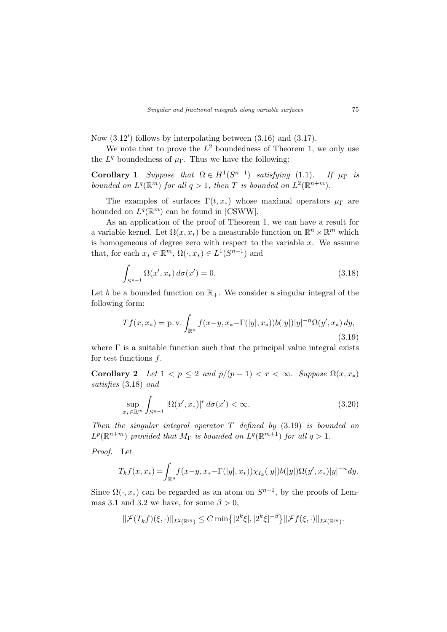Now  $(3.12')$  follows by interpolating between  $(3.16)$  and  $(3.17)$ .

We note that to prove the  $L^2$  boundedness of Theorem 1, we only use the  $L^q$  boundedness of  $\mu_{\Gamma}$ . Thus we have the following:

**Corollary 1** Suppose that  $\Omega \in H^1(S^{n-1})$  satisfying (1.1). If  $\mu_{\Gamma}$  is bounded on  $L^q(\mathbb{R}^m)$  for all  $q>1$ , then T is bounded on  $L^2(\mathbb{R}^{n+m})$ .

The examples of surfaces  $\Gamma(t, x_*)$  whose maximal operators  $\mu_{\Gamma}$  are bounded on  $L^q(\mathbb{R}^m)$  can be found in [CSWW].

As an application of the proof of Theorem 1, we can have a result for a variable kernel. Let  $\Omega(x, x_*)$  be a measurable function on  $\mathbb{R}^n \times \mathbb{R}^m$  which is homogeneous of degree zero with respect to the variable  $x$ . We assume that, for each  $x_* \in \mathbb{R}^m$ ,  $\Omega(\cdot, x_*) \in L^1(S^{n-1})$  and

$$
\int_{S^{n-1}} \Omega(x', x_*) \, d\sigma(x') = 0. \tag{3.18}
$$

Let b be a bounded function on  $\mathbb{R}_+$ . We consider a singular integral of the following form:

$$
Tf(x, x_*) = \text{p.v.} \int_{\mathbb{R}^n} f(x - y, x_* - \Gamma(|y|, x_*)) b(|y|) |y|^{-n} \Omega(y', x_*) \, dy,
$$
\n(3.19)

where  $\Gamma$  is a suitable function such that the principal value integral exists for test functions f.

Corollary 2 Let  $1 < p \le 2$  and  $p/(p-1) < r < \infty$ . Suppose  $\Omega(x, x_*)$ satisfies (3.18) and

$$
\sup_{x_* \in \mathbb{R}^m} \int_{S^{n-1}} |\Omega(x', x_*)|^r \, d\sigma(x') < \infty. \tag{3.20}
$$

Then the singular integral operator  $T$  defined by  $(3.19)$  is bounded on  $L^p(\mathbb{R}^{n+m})$  provided that  $M_{\Gamma}$  is bounded on  $L^q(\mathbb{R}^{m+1})$  for all  $q>1$ .

Proof. Let

$$
T_k f(x, x_*) = \int_{\mathbb{R}^n} f(x - y, x_* - \Gamma(|y|, x_*)) \chi_{I_k}(|y|) b(|y|) \Omega(y', x_*) |y|^{-n} dy.
$$

Since  $\Omega(\cdot, x_*)$  can be regarded as an atom on  $S^{n-1}$ , by the proofs of Lemmas 3.1 and 3.2 we have, for some  $\beta > 0$ ,

$$
\|\mathcal{F}(T_k f)(\xi,\cdot)\|_{L^2(\mathbb{R}^m)} \leq C \min\{|2^k \xi|, |2^k \xi|^{-\beta}\} \|\mathcal{F}f(\xi,\cdot)\|_{L^2(\mathbb{R}^m)}.
$$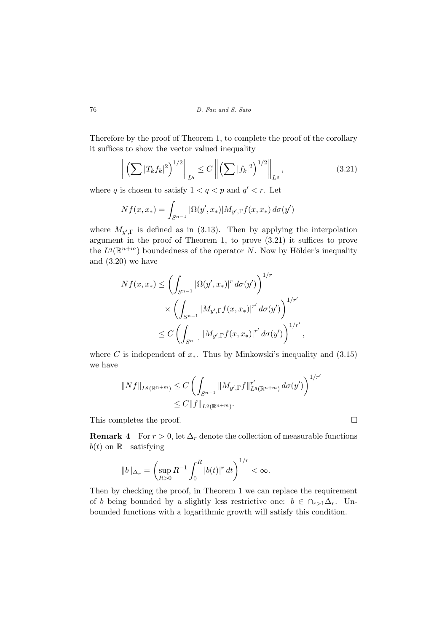Therefore by the proof of Theorem 1, to complete the proof of the corollary it suffices to show the vector valued inequality

$$
\left\| \left( \sum |T_k f_k|^2 \right)^{1/2} \right\|_{L^q} \le C \left\| \left( \sum |f_k|^2 \right)^{1/2} \right\|_{L^q},\tag{3.21}
$$

where q is chosen to satisfy  $1 < q < p$  and  $q' < r$ . Let

$$
Nf(x, x_*) = \int_{S^{n-1}} |\Omega(y', x_*)| M_{y', \Gamma} f(x, x_*) d\sigma(y')
$$

where  $M_{y',\Gamma}$  is defined as in (3.13). Then by applying the interpolation argument in the proof of Theorem 1, to prove (3.21) it suffices to prove the  $L^q(\mathbb{R}^{n+m})$  boundedness of the operator N. Now by Hölder's inequality and (3.20) we have

$$
Nf(x, x_*) \leq \left(\int_{S^{n-1}} |\Omega(y', x_*)|^r d\sigma(y')\right)^{1/r} \times \left(\int_{S^{n-1}} |M_{y', \Gamma} f(x, x_*)|^{r'} d\sigma(y')\right)^{1/r'} \leq C \left(\int_{S^{n-1}} |M_{y', \Gamma} f(x, x_*)|^{r'} d\sigma(y')\right)^{1/r'},
$$

where C is independent of  $x_*$ . Thus by Minkowski's inequality and (3.15) we have

$$
||Nf||_{L^{q}(\mathbb{R}^{n+m})} \leq C \left( \int_{S^{n-1}} ||M_{y',\Gamma}f||_{L^{q}(\mathbb{R}^{n+m})}^{r'} d\sigma(y') \right)^{1/r'} \leq C ||f||_{L^{q}(\mathbb{R}^{n+m})}.
$$

This completes the proof.  $\Box$ 

**Remark 4** For  $r > 0$ , let  $\Delta_r$  denote the collection of measurable functions  $b(t)$  on  $\mathbb{R}_+$  satisfying

$$
||b||_{\Delta_r} = \left(\sup_{R>0} R^{-1} \int_0^R |b(t)|^r dt\right)^{1/r} < \infty.
$$

Then by checking the proof, in Theorem 1 we can replace the requirement of b being bounded by a slightly less restrictive one:  $b \in \bigcap_{r>1} \Delta_r$ . Unbounded functions with a logarithmic growth will satisfy this condition.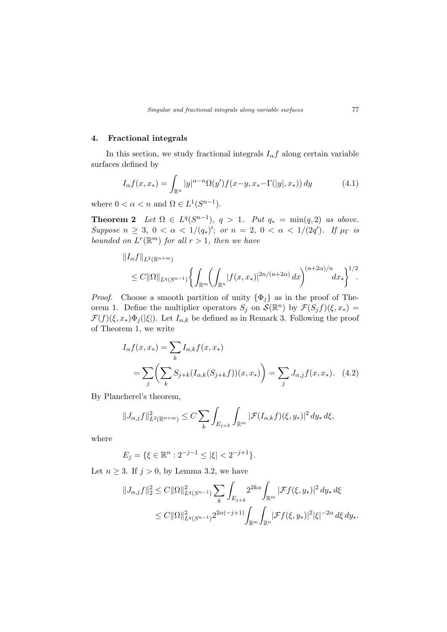### 4. Fractional integrals

In this section, we study fractional integrals  $I_{\alpha}f$  along certain variable surfaces defined by

$$
I_{\alpha}f(x, x_*) = \int_{\mathbb{R}^n} |y|^{\alpha - n} \Omega(y') f(x - y, x_* - \Gamma(|y|, x_*)) dy \tag{4.1}
$$

where  $0 < \alpha < n$  and  $\Omega \in L^1(S^{n-1})$ .

**Theorem 2** Let  $\Omega \in L^q(S^{n-1}), q > 1$ . Put  $q_* = \min(q, 2)$  as above. Suppose  $n \geq 3$ ,  $0 < \alpha < 1/(q_*)'$ ; or  $n = 2$ ,  $0 < \alpha < 1/(2q')$ . If  $\mu_{\Gamma}$  is bounded on  $L^r(\mathbb{R}^m)$  for all  $r > 1$ , then we have

$$
||I_{\alpha}f||_{L^{2}(\mathbb{R}^{n+m})}
$$
  
\n
$$
\leq C||\Omega||_{L^{q}(S^{n-1})}\bigg\{\int_{\mathbb{R}^{m}}\bigg(\int_{\mathbb{R}^{n}}|f(x,x_{*})|^{2n/(n+2\alpha)} dx\bigg)^{(n+2\alpha)/n}dx_{*}\bigg\}^{1/2}.
$$

*Proof.* Choose a smooth partition of unity  $\{\Phi_j\}$  as in the proof of Theorem 1. Define the multiplier operators  $S_j$  on  $\mathcal{S}(\mathbb{R}^n)$  by  $\mathcal{F}(S_j f)(\xi, x_*) =$  $\mathcal{F}(f)(\xi, x_*)\Phi_j(|\xi|)$ . Let  $I_{\alpha,k}$  be defined as in Remark 3. Following the proof of Theorem 1, we write

$$
I_{\alpha}f(x, x_{*}) = \sum_{k} I_{\alpha,k}f(x, x_{*})
$$
  
= 
$$
\sum_{j} \left( \sum_{k} S_{j+k} (I_{\alpha,k}(S_{j+k}f))(x, x_{*}) \right) = \sum_{j} J_{\alpha,j}f(x, x_{*}). \quad (4.2)
$$

By Plancherel's theorem,

$$
||J_{\alpha,j}f||_{L^{2}(\mathbb{R}^{n+m})}^{2} \leq C \sum_{k} \int_{E_{j+k}} \int_{\mathbb{R}^{m}} |\mathcal{F}(I_{\alpha,k}f)(\xi,y_{*})|^{2} dy_{*} d\xi,
$$

where

$$
E_j = \{ \xi \in \mathbb{R}^n : 2^{-j-1} \le |\xi| < 2^{-j+1} \}.
$$

Let  $n \geq 3$ . If  $j > 0$ , by Lemma 3.2, we have

$$
||J_{\alpha,j}f||_2^2 \leq C ||\Omega||_{L^q(S^{n-1})}^2 \sum_k \int_{E_{j+k}} 2^{2k\alpha} \int_{\mathbb{R}^m} |\mathcal{F}f(\xi, y_*)|^2 dy_* d\xi
$$
  

$$
\leq C ||\Omega||_{L^q(S^{n-1})}^2 2^{2\alpha(-j+1)} \int_{\mathbb{R}^m} \int_{\mathbb{R}^n} |\mathcal{F}f(\xi, y_*)|^2 |\xi|^{-2\alpha} d\xi dy_*.
$$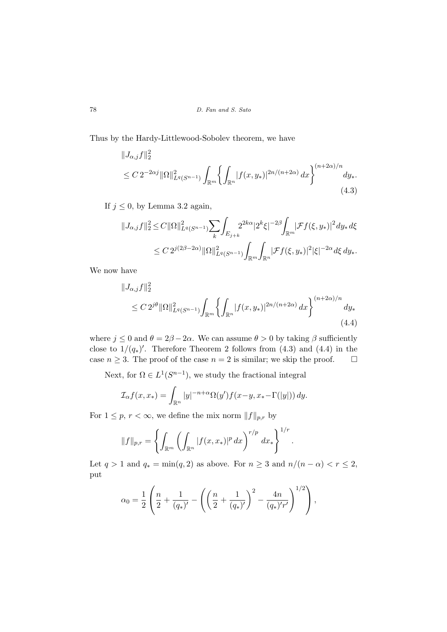Thus by the Hardy-Littlewood-Sobolev theorem, we have

$$
||J_{\alpha,j}f||_2^2
$$
  
\n
$$
\leq C 2^{-2\alpha j} ||\Omega||_{L^q(S^{n-1})}^2 \int_{\mathbb{R}^m} \left\{ \int_{\mathbb{R}^n} |f(x,y_*)|^{2n/(n+2\alpha)} dx \right\}^{(n+2\alpha)/n} dy_*.
$$
\n(4.3)

If  $j \leq 0$ , by Lemma 3.2 again,

$$
||J_{\alpha,j}f||_2^2 \leq C ||\Omega||_{L^q(S^{n-1})}^2 \sum_k \int_{E_{j+k}} 2^{2k\alpha} |2^k \xi|^{-2\beta} \int_{\mathbb{R}^m} |\mathcal{F}f(\xi, y_*)|^2 dy_* d\xi
$$
  

$$
\leq C 2^{j(2\beta - 2\alpha)} ||\Omega||_{L^q(S^{n-1})}^2 \int_{\mathbb{R}^m} \int_{\mathbb{R}^n} |\mathcal{F}f(\xi, y_*)|^2 |\xi|^{-2\alpha} d\xi dy_*.
$$

We now have

$$
||J_{\alpha,j}f||_2^2
$$
  
\n
$$
\leq C 2^{j\theta} ||\Omega||_{L^q(S^{n-1})}^2 \int_{\mathbb{R}^m} \left\{ \int_{\mathbb{R}^n} |f(x,y_*)|^{2n/(n+2\alpha)} dx \right\}^{(n+2\alpha)/n} dy_*
$$
\n(4.4)

where  $j \leq 0$  and  $\theta = 2\beta - 2\alpha$ . We can assume  $\theta > 0$  by taking  $\beta$  sufficiently close to  $1/(q_*)'$ . Therefore Theorem 2 follows from (4.3) and (4.4) in the case  $n \geq 3$ . The proof of the case  $n = 2$  is similar; we skip the proof.  $\Box$ 

Next, for  $\Omega \in L^1(S^{n-1})$ , we study the fractional integral

$$
\mathcal{I}_{\alpha}f(x,x_*) = \int_{\mathbb{R}^n} |y|^{-n+\alpha} \Omega(y')f(x-y, x_* - \Gamma(|y|)) dy.
$$

For  $1 \leq p, r < \infty$ , we define the mix norm  $||f||_{p,r}$  by

$$
||f||_{p,r} = \left\{ \int_{\mathbb{R}^m} \left( \int_{\mathbb{R}^n} |f(x, x_*)|^p \, dx \right)^{r/p} \, dx_* \right\}^{1/r}.
$$

Let  $q > 1$  and  $q_* = \min(q, 2)$  as above. For  $n \geq 3$  and  $n/(n - \alpha) < r \leq 2$ , put

$$
\alpha_0 = \frac{1}{2} \left( \frac{n}{2} + \frac{1}{(q_*)'} - \left( \left( \frac{n}{2} + \frac{1}{(q_*)'} \right)^2 - \frac{4n}{(q_*)'r'} \right)^{1/2} \right),\,
$$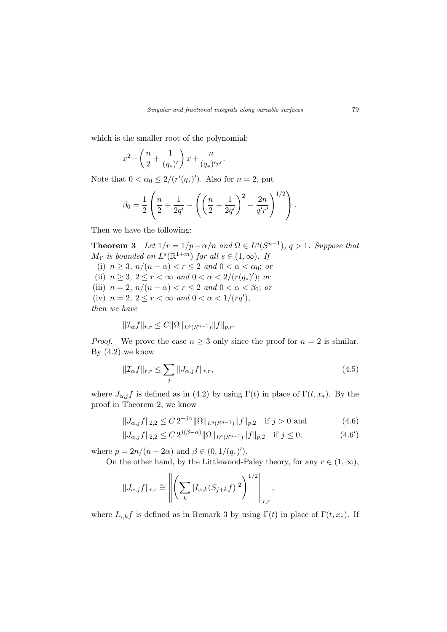which is the smaller root of the polynomial:

$$
x^{2} - \left(\frac{n}{2} + \frac{1}{(q_{*})'}\right)x + \frac{n}{(q_{*})'r'}.
$$

Note that  $0 < \alpha_0 \leq 2/(r'(q_*)')$ . Also for  $n = 2$ , put

$$
\beta_0 = \frac{1}{2} \left( \frac{n}{2} + \frac{1}{2q'} - \left( \left( \frac{n}{2} + \frac{1}{2q'} \right)^2 - \frac{2n}{q'r'} \right)^{1/2} \right).
$$

Then we have the following:

**Theorem 3** Let  $1/r = 1/p - \alpha/n$  and  $\Omega \in L^q(S^{n-1}), q > 1$ . Suppose that  $M_{\Gamma}$  is bounded on  $L^{s}(\mathbb{R}^{1+m})$  for all  $s \in (1,\infty)$ . If (i)  $n \geq 3$ ,  $n/(n - \alpha) < r \leq 2$  and  $0 < \alpha < \alpha_0$ ; or (ii)  $n \ge 3, 2 \le r < \infty$  and  $0 < \alpha < 2/(r(q_*)')$ ; or (iii)  $n = 2$ ,  $n/(n - \alpha) < r \leq 2$  and  $0 < \alpha < \beta_0$ ; or (iv)  $n = 2, 2 \le r < \infty$  and  $0 < \alpha < 1/(rq'),$ then we have

$$
||\mathcal{I}_{\alpha}f||_{r,r} \leq C||\Omega||_{L^{q}(S^{n-1})}||f||_{p,r}.
$$

*Proof.* We prove the case  $n \geq 3$  only since the proof for  $n = 2$  is similar. By  $(4.2)$  we know

$$
\|\mathcal{I}_{\alpha}f\|_{r,r} \le \sum_{j} \|J_{\alpha,j}f\|_{r,r},\tag{4.5}
$$

where  $J_{\alpha,j}f$  is defined as in (4.2) by using  $\Gamma(t)$  in place of  $\Gamma(t, x_*)$ . By the proof in Theorem 2, we know

$$
||J_{\alpha,j}f||_{2,2} \le C 2^{-j\alpha} ||\Omega||_{L^{q}(S^{n-1})} ||f||_{p,2} \quad \text{if } j > 0 \text{ and} \tag{4.6}
$$

$$
||J_{\alpha,j}f||_{2,2} \le C 2^{j(\beta-\alpha)} \|\Omega\|_{L^q(S^{n-1})} \|f\|_{p,2} \quad \text{if } j \le 0,
$$
\n(4.6')

where  $p = 2n/(n + 2\alpha)$  and  $\beta \in (0, 1/(q_*)')$ .

On the other hand, by the Littlewood-Paley theory, for any  $r \in (1,\infty)$ ,

$$
||J_{\alpha,j}f||_{r,r} \cong \left\| \left( \sum_{k} |I_{\alpha,k}(S_{j+k}f)|^2 \right)^{1/2} \right\|_{r,r},
$$

where  $I_{\alpha,k}f$  is defined as in Remark 3 by using  $\Gamma(t)$  in place of  $\Gamma(t,x_*)$ . If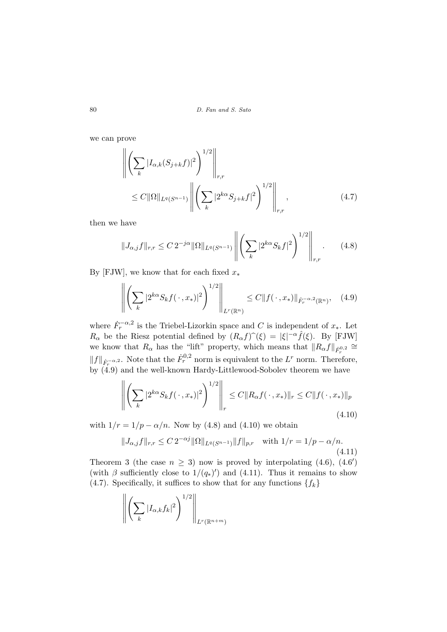we can prove

$$
\left\| \left( \sum_{k} |I_{\alpha,k}(S_{j+k}f)|^2 \right)^{1/2} \right\|_{r,r} \leq C \|\Omega\|_{L^q(S^{n-1})} \left\| \left( \sum_{k} |2^{k\alpha} S_{j+k}f|^2 \right)^{1/2} \right\|_{r,r}, \tag{4.7}
$$

then we have

$$
||J_{\alpha,j}f||_{r,r} \leq C 2^{-j\alpha} ||\Omega||_{L^q(S^{n-1})} \left\| \left( \sum_k |2^{k\alpha} S_k f|^2 \right)^{1/2} \right\|_{r,r}.
$$
 (4.8)

By [FJW], we know that for each fixed  $x_*$ 

$$
\left\| \left( \sum_{k} |2^{k\alpha} S_k f(\cdot, x_*)|^2 \right)^{1/2} \right\|_{L^r(\mathbb{R}^n)} \leq C \| f(\cdot, x_*) \|_{\dot{F}_r^{-\alpha, 2}(\mathbb{R}^n)}, \quad (4.9)
$$

where  $\dot{F}_r^{-\alpha,2}$  is the Triebel-Lizorkin space and C is independent of  $x_*$ . Let  $R_{\alpha}$  be the Riesz potential defined by  $(R_{\alpha} f)^{\hat{}}(\xi) = |\xi|^{-\alpha} \hat{f}(\xi)$ . By [FJW] we know that  $R_{\alpha}$  has the "lift" property, which means that  $||R_{\alpha}f||_{\dot{F}_{r}^{0,2}} \cong$  $||f||_{\dot{F}_r^{-\alpha,2}}$ . Note that the  $\dot{F}_r^{0,2}$  norm is equivalent to the  $L^r$  norm. Therefore,  $\frac{1}{2}$  by (4.9) and the well-known Hardy-Littlewood-Sobolev theorem we have

$$
\left\| \left( \sum_{k} |2^{k\alpha} S_k f(\,\cdot\,, x_*)|^2 \right)^{1/2} \right\|_r \le C \|R_{\alpha} f(\,\cdot\,, x_*)\|_r \le C \|f(\,\cdot\,, x_*)\|_p
$$
\n(4.10)

with  $1/r = 1/p - \alpha/n$ . Now by (4.8) and (4.10) we obtain

$$
||J_{\alpha,j}f||_{r,r} \leq C 2^{-\alpha j} \|\Omega\|_{L^q(S^{n-1})} \|f\|_{p,r} \quad \text{with } 1/r = 1/p - \alpha/n. \tag{4.11}
$$

Theorem 3 (the case  $n \geq 3$ ) now is proved by interpolating (4.6), (4.6') (with  $\beta$  sufficiently close to  $1/(q_*)'$ ) and (4.11). Thus it remains to show (4.7). Specifically, it suffices to show that for any functions  $\{f_k\}$ 

$$
\left\| \left( \sum_{k} |I_{\alpha,k} f_k|^2 \right)^{1/2} \right\|_{L^r(\mathbb{R}^{n+m})}
$$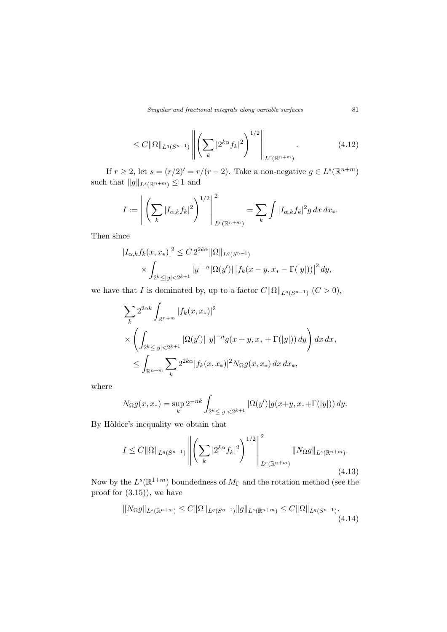$$
\leq C \|\Omega\|_{L^{q}(S^{n-1})} \left\| \left( \sum_{k} |2^{k\alpha} f_k|^2 \right)^{1/2} \right\|_{L^{r}(\mathbb{R}^{n+m})}.
$$
\n(4.12)

If  $r \geq 2$ , let  $s = (r/2)' = r/(r-2)$ . Take a non-negative  $g \in L^{s}(\mathbb{R}^{n+m})$ such that  $||g||_{L^{s}(\mathbb{R}^{n+m})} \leq 1$  and

$$
I := \left\| \left( \sum_{k} |I_{\alpha,k} f_k|^2 \right)^{1/2} \right\|_{L^r(\mathbb{R}^{n+m})}^2 = \sum_{k} \int |I_{\alpha,k} f_k|^2 g \, dx \, dx_*.
$$

Then since

$$
|I_{\alpha,k}f_k(x,x_*)|^2 \le C 2^{2k\alpha} \|\Omega\|_{L^q(S^{n-1})}
$$
  
 
$$
\times \int_{2^k \le |y| < 2^{k+1}} |y|^{-n} |\Omega(y')| \left| f_k(x-y, x_* - \Gamma(|y|)) \right|^2 dy,
$$

we have that I is dominated by, up to a factor  $C\|\Omega\|_{L^q(S^{n-1})}$   $(C > 0)$ ,

$$
\sum_{k} 2^{2\alpha k} \int_{\mathbb{R}^{n+m}} |f_k(x, x_*)|^2
$$
\n
$$
\times \left( \int_{2^k \le |y| < 2^{k+1}} |\Omega(y')| \, |y|^{-n} g(x+y, x_* + \Gamma(|y|)) \, dy \right) dx \, dx_*
$$
\n
$$
\le \int_{\mathbb{R}^{n+m}} \sum_{k} 2^{2k\alpha} |f_k(x, x_*)|^2 N_{\Omega} g(x, x_*) \, dx \, dx_*,
$$

where

$$
N_{\Omega}g(x, x_*) = \sup_{k} 2^{-nk} \int_{2^k \le |y| < 2^{k+1}} |\Omega(y')| g(x+y, x_* + \Gamma(|y|)) dy.
$$

By Hölder's inequality we obtain that

$$
I \leq C \|\Omega\|_{L^{q}(S^{n-1})} \left\| \left( \sum_{k} |2^{k\alpha} f_k|^2 \right)^{1/2} \right\|_{L^r(\mathbb{R}^{n+m})}^2 \|\mathcal{N}_{\Omega}g\|_{L^s(\mathbb{R}^{n+m})}.
$$
\n(4.13)

Now by the  $L^s(\mathbb{R}^{1+m})$  boundedness of  $M_{\Gamma}$  and the rotation method (see the proof for (3.15)), we have

$$
||N_{\Omega}g||_{L^{s}(\mathbb{R}^{n+m})} \leq C||\Omega||_{L^{q}(S^{n-1})}||g||_{L^{s}(\mathbb{R}^{n+m})} \leq C||\Omega||_{L^{q}(S^{n-1})}.
$$
\n(4.14)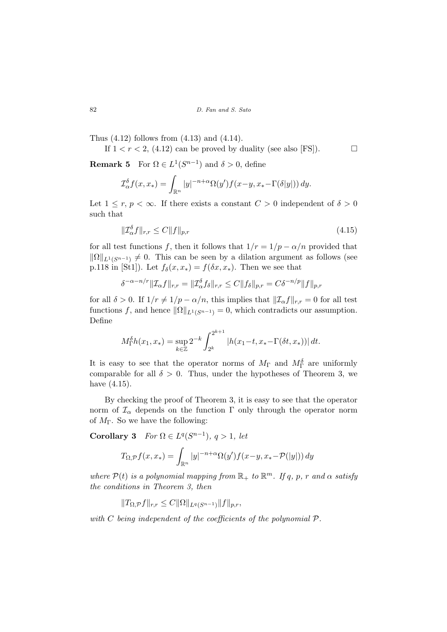Thus (4.12) follows from (4.13) and (4.14).

If  $1 < r < 2$ , (4.12) can be proved by duality (see also [FS]).

**Remark 5** For  $\Omega \in L^1(S^{n-1})$  and  $\delta > 0$ , define

$$
\mathcal{I}_{\alpha}^{\delta} f(x, x_*) = \int_{\mathbb{R}^n} |y|^{-n+\alpha} \Omega(y') f(x - y, x_* - \Gamma(\delta|y|)) dy.
$$

Let  $1 \leq r, p \leq \infty$ . If there exists a constant  $C > 0$  independent of  $\delta > 0$ such that

$$
\|\mathcal{I}_{\alpha}^{\delta}f\|_{r,r} \le C \|f\|_{p,r} \tag{4.15}
$$

for all test functions f, then it follows that  $1/r = 1/p - \alpha/n$  provided that  $\|\Omega\|_{L^1(S^{n-1})} \neq 0$ . This can be seen by a dilation argument as follows (see p.118 in [St1]). Let  $f_{\delta}(x, x_*) = f(\delta x, x_*)$ . Then we see that

$$
\delta^{-\alpha-n/r} \|\mathcal{I}_{\alpha}f\|_{r,r} = \|\mathcal{I}_{\alpha}^{\delta}f_{\delta}\|_{r,r} \leq C \|f_{\delta}\|_{p,r} = C\delta^{-n/p} \|f\|_{p,r}
$$

for all  $\delta > 0$ . If  $1/r \neq 1/p - \alpha/n$ , this implies that  $||\mathcal{I}_{\alpha}f||_{r,r} = 0$  for all test functions f, and hence  $\|\Omega\|_{L^1(S^{n-1})} = 0$ , which contradicts our assumption. Define

$$
M_{\Gamma}^{\delta}h(x_1, x_*) = \sup_{k \in \mathbb{Z}} 2^{-k} \int_{2^k}^{2^{k+1}} |h(x_1 - t, x_* - \Gamma(\delta t, x_*))| dt.
$$

It is easy to see that the operator norms of  $M_{\Gamma}$  and  $M_{\Gamma}^{\delta}$  are uniformly comparable for all  $\delta > 0$ . Thus, under the hypotheses of Theorem 3, we have (4.15).

By checking the proof of Theorem 3, it is easy to see that the operator norm of  $\mathcal{I}_{\alpha}$  depends on the function  $\Gamma$  only through the operator norm of  $M_{\Gamma}$ . So we have the following:

Corollary 3  $For \Omega \in L^q(S^{n-1}), q > 1, let$ 

$$
T_{\Omega,\mathcal{P}}f(x,x_*) = \int_{\mathbb{R}^n} |y|^{-n+\alpha} \Omega(y')f(x-y,x_*-\mathcal{P}(|y|)) dy
$$

where  $\mathcal{P}(t)$  is a polynomial mapping from  $\mathbb{R}_+$  to  $\mathbb{R}^m$ . If q, p, r and  $\alpha$  satisfy the conditions in Theorem 3, then

$$
||T_{\Omega,\mathcal{P}}f||_{r,r} \leq C||\Omega||_{L^q(S^{n-1})}||f||_{p,r},
$$

with  $C$  being independent of the coefficients of the polynomial  $P$ .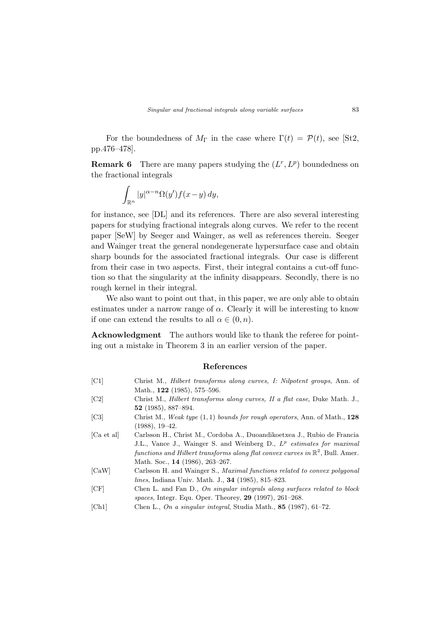For the boundedness of  $M_{\Gamma}$  in the case where  $\Gamma(t) = \mathcal{P}(t)$ , see [St2, pp.476–478].

**Remark 6** There are many papers studying the  $(L^r, L^p)$  boundedness on the fractional integrals

$$
\int_{\mathbb{R}^n} |y|^{\alpha - n} \Omega(y') f(x - y) \, dy,
$$

for instance, see [DL] and its references. There are also several interesting papers for studying fractional integrals along curves. We refer to the recent paper [SeW] by Seeger and Wainger, as well as references therein. Seeger and Wainger treat the general nondegenerate hypersurface case and obtain sharp bounds for the associated fractional integrals. Our case is different from their case in two aspects. First, their integral contains a cut-off function so that the singularity at the infinity disappears. Secondly, there is no rough kernel in their integral.

We also want to point out that, in this paper, we are only able to obtain estimates under a narrow range of  $\alpha$ . Clearly it will be interesting to know if one can extend the results to all  $\alpha \in (0, n)$ .

Acknowledgment The authors would like to thank the referee for pointing out a mistake in Theorem 3 in an earlier version of the paper.

#### References

| [ <sub>C1</sub> ]           | Christ M., Hilbert transforms along curves, I: Nilpotent groups, Ann. of                   |
|-----------------------------|--------------------------------------------------------------------------------------------|
|                             | Math., $122$ (1985), 575–596.                                                              |
| $\left[ \text{C2} \right]$  | Christ M., <i>Hilbert transforms along curves</i> , <i>II a flat case</i> , Duke Math. J., |
|                             | 52 $(1985)$ , 887-894.                                                                     |
| $\left[ \mathrm{C}3\right]$ | Christ M., Weak type $(1,1)$ bounds for rough operators, Ann. of Math., 128                |
|                             | $(1988), 19-42.$                                                                           |
| Ca et all                   | Carlsson H., Christ M., Cordoba A., Duoandikoetxea J., Rubio de Francia                    |
|                             | J.L., Vance J., Wainger S. and Weinberg D., $L^p$ estimates for maximal                    |
|                             | functions and Hilbert transforms along flat convex curves in $\mathbb{R}^2$ , Bull. Amer.  |
|                             | Math. Soc., 14 (1986), 263–267.                                                            |
| [CaW]                       | Carlsson H. and Wainger S., Maximal functions related to convex polygonal                  |
|                             | <i>lines</i> , Indiana Univ. Math. J., <b>34</b> (1985), 815–823.                          |
| [CF]                        | Chen L. and Fan D., On singular integrals along surfaces related to block                  |
|                             | spaces, Integr. Equ. Oper. Theorey, $29$ (1997), $261-268$ .                               |
| [Ch1]                       | Chen L., On a singular integral, Studia Math., 85 (1987), 61-72.                           |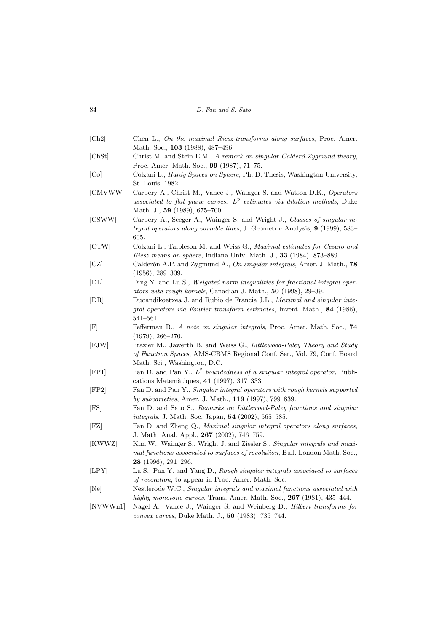| 84 |  |  | D. Fan and S. Sato |
|----|--|--|--------------------|
|    |  |  |                    |

| Ch2                          | Chen L., On the maximal Riesz-transforms along surfaces, Proc. Amer.                                                                                                                    |
|------------------------------|-----------------------------------------------------------------------------------------------------------------------------------------------------------------------------------------|
| [ <b>C</b> h <sub>S</sub> t] | Math. Soc., <b>103</b> (1988), 487–496.<br>Christ M. and Stein E.M., A remark on singular Calderó-Zygmund theory,<br>Proc. Amer. Math. Soc., 99 (1987), 71-75.                          |
| [Co]                         | Colzani L., <i>Hardy Spaces on Sphere</i> , Ph. D. Thesis, Washington University,<br>St. Louis, 1982.                                                                                   |
| [CMVWW]                      | Carbery A., Christ M., Vance J., Wainger S. and Watson D.K., Operators<br>associated to flat plane curves: $L^p$ estimates via dilation methods, Duke<br>Math. J., 59 (1989), 675–700.  |
| [CSWW]                       | Carbery A., Seeger A., Wainger S. and Wright J., Classes of singular in-<br><i>tegral operators along variable lines</i> , J. Geometric Analysis, 9 (1999), 583–<br>605.                |
| [CTW]                        | Colzani L., Taibleson M. and Weiss G., <i>Maximal estimates for Cesaro and</i><br><i>Riesz means on sphere, Indiana Univ. Math. J., 33 (1984), 873–889.</i>                             |
| $ {\rm CZ} $                 | Calderón A.P. and Zygmund A., On singular integrals, Amer. J. Math., 78<br>$(1956), 289-309.$                                                                                           |
| DL                           | Ding Y. and Lu S., Weighted norm inequalities for fractional integral oper-<br>ators with rough kernels, Canadian J. Math., 50 (1998), 29–39.                                           |
| DR                           | Duoandikoetxea J. and Rubio de Francia J.L., Maximal and singular inte-<br>gral operators via Fourier transform estimates, Invent. Math., 84 (1986),<br>$541 - 561.$                    |
| $[\mathrm{F}]$               | Fefferman R., A note on singular integrals, Proc. Amer. Math. Soc., 74<br>$(1979), 266 - 270.$                                                                                          |
| $[$ FJW $]$                  | Frazier M., Jawerth B. and Weiss G., Littlewood-Paley Theory and Study<br><i>of Function Spaces, AMS-CBMS Regional Conf. Ser., Vol. 79, Conf. Board</i><br>Math. Sci., Washington, D.C. |
| FP1                          | Fan D. and Pan Y., $L^2$ boundedness of a singular integral operator, Publi-<br>cations Matemàtiques, $41$ (1997), 317-333.                                                             |
| [FP2]                        | Fan D. and Pan Y., Singular integral operators with rough kernels supported<br>by subvarieties, Amer. J. Math., 119 (1997), 799-839.                                                    |
| FS                           | Fan D. and Sato S., Remarks on Littlewood-Paley functions and singular<br><i>integrals</i> , J. Math. Soc. Japan, <b>54</b> (2002), 565–585.                                            |
| $[{\rm FZ}]$                 | Fan D. and Zheng Q., Maximal singular integral operators along surfaces,<br>J. Math. Anal. Appl., 267 (2002), 746–759.                                                                  |
| [KWWZ]                       | Kim W., Wainger S., Wright J. and Ziesler S., Singular integrals and maxi-<br>mal functions associated to surfaces of revolution, Bull. London Math. Soc.,<br>28 (1996), 291-296.       |
| [LPY]                        | Lu S., Pan Y. and Yang D., Rough singular integrals associated to surfaces<br><i>of revolution</i> , to appear in Proc. Amer. Math. Soc.                                                |
| [Ne]                         | Nestlerode W.C., Singular integrals and maximal functions associated with<br>highly monotone curves, Trans. Amer. Math. Soc., $267$ (1981), 435–444.                                    |
| [NVWWn1]                     | Nagel A., Vance J., Wainger S. and Weinberg D., <i>Hilbert transforms for</i><br>convex curves, Duke Math. J., 50 (1983), 735–744.                                                      |